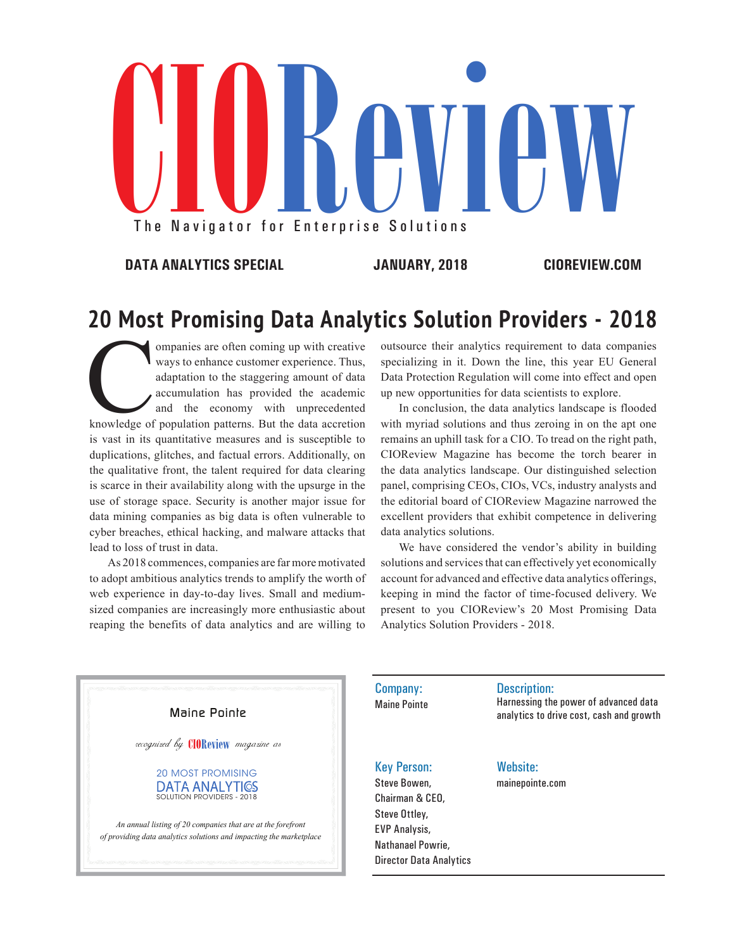# The Navigator for The Navigator for Enterprise Solutions Reviews Solutions

**DATA ANALYTICS SPECIAL JANUARY, 2018 CIOREVIEW.COM**

# **20 Most Promising Data Analytics Solution Providers - 2018**

Companies are often coming up with creative ways to enhance customer experience. Thus, adaptation to the staggering amount of data accretion and the economy with unprecedented knowledge of population patterns. But the data ways to enhance customer experience. Thus, adaptation to the staggering amount of data accumulation has provided the academic and the economy with unprecedented is vast in its quantitative measures and is susceptible to duplications, glitches, and factual errors. Additionally, on the qualitative front, the talent required for data clearing is scarce in their availability along with the upsurge in the use of storage space. Security is another major issue for data mining companies as big data is often vulnerable to cyber breaches, ethical hacking, and malware attacks that lead to loss of trust in data.

As 2018 commences, companies are far more motivated to adopt ambitious analytics trends to amplify the worth of web experience in day-to-day lives. Small and mediumsized companies are increasingly more enthusiastic about reaping the benefits of data analytics and are willing to

outsource their analytics requirement to data companies specializing in it. Down the line, this year EU General Data Protection Regulation will come into effect and open up new opportunities for data scientists to explore.

In conclusion, the data analytics landscape is flooded with myriad solutions and thus zeroing in on the apt one remains an uphill task for a CIO. To tread on the right path, CIOReview Magazine has become the torch bearer in the data analytics landscape. Our distinguished selection panel, comprising CEOs, CIOs, VCs, industry analysts and the editorial board of CIOReview Magazine narrowed the excellent providers that exhibit competence in delivering data analytics solutions.

We have considered the vendor's ability in building solutions and services that can effectively yet economically account for advanced and effective data analytics offerings, keeping in mind the factor of time-focused delivery. We present to you CIOReview's 20 Most Promising Data Analytics Solution Providers - 2018.



Company: Maine Pointe Description:

Harnessing the power of advanced data analytics to drive cost, cash and growth

## Key Person:

Steve Bowen, Chairman & CEO, Steve Ottley, EVP Analysis, Nathanael Powrie,

Director Data Analytics

## Website:

mainepointe.com